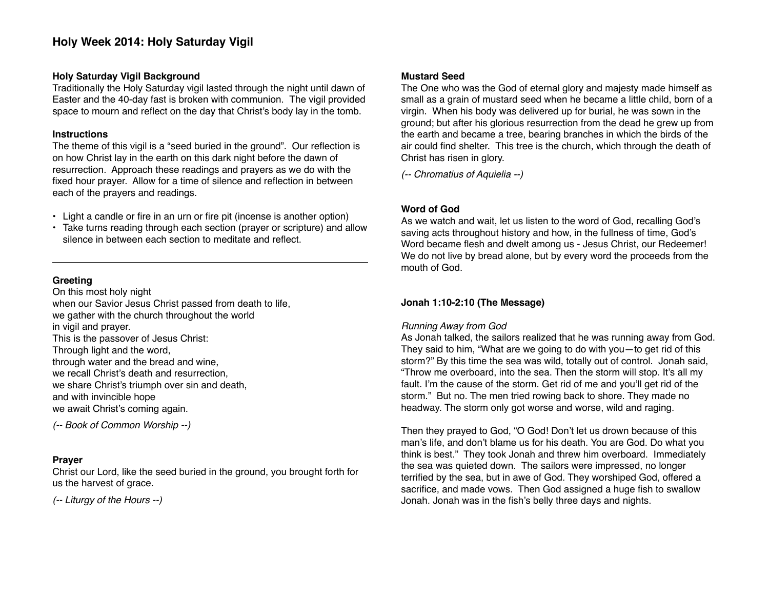# **Holy Week 2014: Holy Saturday Vigil**

#### **Holy Saturday Vigil Background**

Traditionally the Holy Saturday vigil lasted through the night until dawn of Easter and the 40-day fast is broken with communion. The vigil provided space to mourn and reflect on the day that Christ's body lay in the tomb.

# **Instructions**

The theme of this vigil is a "seed buried in the ground". Our reflection is on how Christ lay in the earth on this dark night before the dawn of resurrection. Approach these readings and prayers as we do with the fixed hour prayer. Allow for a time of silence and reflection in between each of the prayers and readings.

- Light a candle or fire in an urn or fire pit (incense is another option)
- Take turns reading through each section (prayer or scripture) and allow silence in between each section to meditate and reflect.

# **Greeting**

On this most holy night when our Savior Jesus Christ passed from death to life, we gather with the church throughout the world in vigil and prayer. This is the passover of Jesus Christ: Through light and the word, through water and the bread and wine, we recall Christ's death and resurrection, we share Christ's triumph over sin and death, and with invincible hope we await Christ's coming again.

*(-- Book of Common Worship --)*

# **Prayer**

Christ our Lord, like the seed buried in the ground, you brought forth for us the harvest of grace.

*(-- Liturgy of the Hours --)*

# **Mustard Seed**

The One who was the God of eternal glory and majesty made himself as small as a grain of mustard seed when he became a little child, born of a virgin. When his body was delivered up for burial, he was sown in the ground; but after his glorious resurrection from the dead he grew up from the earth and became a tree, bearing branches in which the birds of the air could find shelter. This tree is the church, which through the death of Christ has risen in glory.

*(-- Chromatius of Aquielia --)*

# **Word of God**

As we watch and wait, let us listen to the word of God, recalling God's saving acts throughout history and how, in the fullness of time, God's Word became flesh and dwelt among us - Jesus Christ, our Redeemer! We do not live by bread alone, but by every word the proceeds from the mouth of God.

# **Jonah 1:10-2:10 (The Message)**

# *Running Away from God*

As Jonah talked, the sailors realized that he was running away from God. They said to him, "What are we going to do with you—to get rid of this storm?" By this time the sea was wild, totally out of control. Jonah said, "Throw me overboard, into the sea. Then the storm will stop. It's all my fault. I'm the cause of the storm. Get rid of me and you'll get rid of the storm." But no. The men tried rowing back to shore. They made no headway. The storm only got worse and worse, wild and raging.

Then they prayed to God, "O God! Don't let us drown because of this man's life, and don't blame us for his death. You are God. Do what you think is best." They took Jonah and threw him overboard. Immediately the sea was quieted down. The sailors were impressed, no longer terrified by the sea, but in awe of God. They worshiped God, offered a sacrifice, and made vows. Then God assigned a huge fish to swallow Jonah. Jonah was in the fish's belly three days and nights.